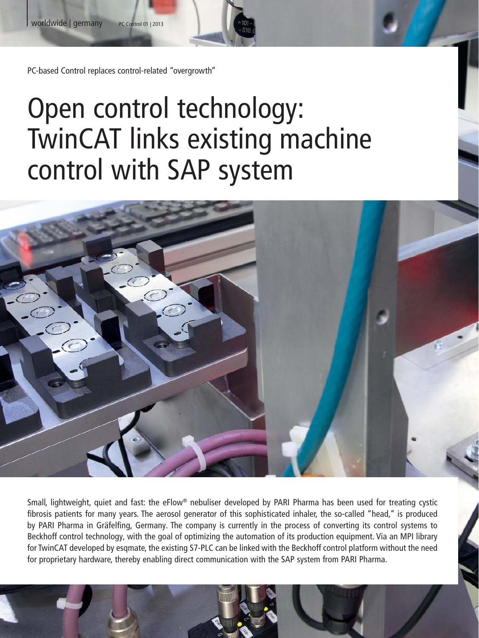PC-based Control replaces control-related "overgrowth"

# Open control technology: TwinCAT links existing machine control with SAP system



Small, lightweight, quiet and fast: the eFlow® nebuliser developed by PARI Pharma has been used for treating cystic fibrosis patients for many years. The aerosol generator of this sophisticated inhaler, the so-called "head," is produced by PARI Pharma in Gräfelfing, Germany. The company is currently in the process of converting its control systems to Beckhoff control technology, with the goal of optimizing the automation of its production equipment. Via an MPI library for TwinCAT developed by esqmate, the existing S7-PLC can be linked with the Beckhoff control platform without the need for proprietary hardware, thereby enabling direct communication with the SAP system from PARI Pharma.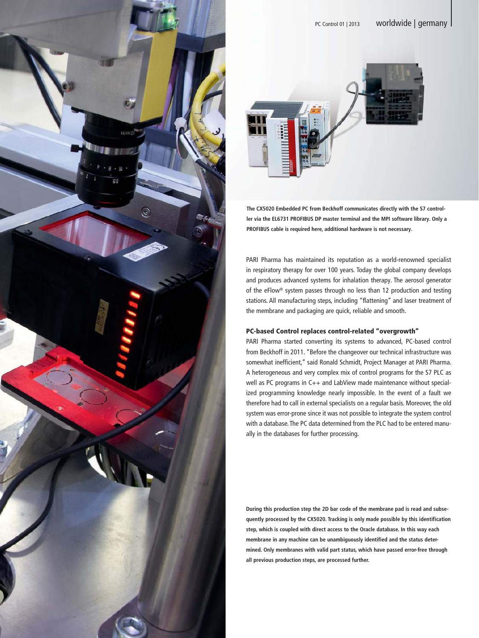



**The CX5020 Embedded PC from Beckhoff communicates directly with the S7 controller via the EL6731 PROFIBUS DP master terminal and the MPI software library. Only a PROFIBUS cable is required here, additional hardware is not necessary.**

PARI Pharma has maintained its reputation as a world-renowned specialist in respiratory therapy for over 100 years. Today the global company develops and produces advanced systems for inhalation therapy. The aerosol generator of the eFlow® system passes through no less than 12 production and testing stations. All manufacturing steps, including "flattening" and laser treatment of the membrane and packaging are quick, reliable and smooth.

# PC-based Control replaces control-related "overgrowth"

PARI Pharma started converting its systems to advanced, PC-based control from Beckhoff in 2011. "Before the changeover our technical infrastructure was somewhat inefficient," said Ronald Schmidt, Project Manager at PARI Pharma. A heterogeneous and very complex mix of control programs for the S7 PLC as well as PC programs in C++ and LabView made maintenance without specialized programming knowledge nearly impossible. In the event of a fault we therefore had to call in external specialists on a regular basis. Moreover, the old system was error-prone since it was not possible to integrate the system control with a database. The PC data determined from the PLC had to be entered manually in the databases for further processing.

**During this production step the 2D bar code of the membrane pad is read and subsequently processed by the CX5020. Tracking is only made possible by this identification step, which is coupled with direct access to the Oracle database. In this way each membrane in any machine can be unambiguously identified and the status determined. Only membranes with valid part status, which have passed error-free through all previous production steps, are processed further.**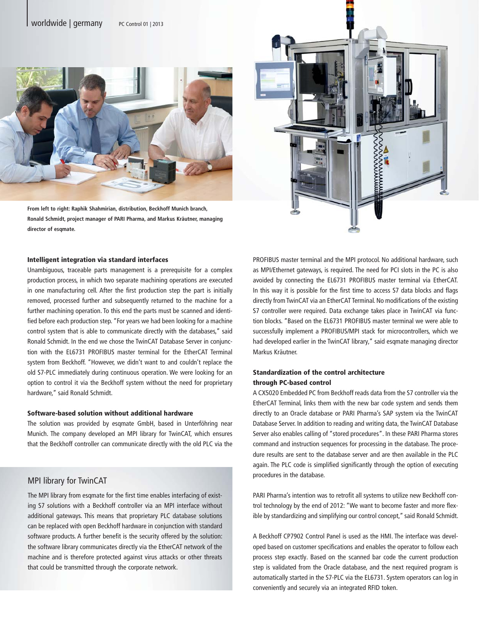

**From left to right: Raphik Shahmirian, distribution, Beckhoff Munich branch, Ronald Schmidt, project manager of PARI Pharma, and Markus Kräutner, managing director of esqmate.**

#### Intelligent integration via standard interfaces

Unambiguous, traceable parts management is a prerequisite for a complex production process, in which two separate machining operations are executed in one manufacturing cell. After the first production step the part is initially removed, processed further and subsequently returned to the machine for a further machining operation. To this end the parts must be scanned and identified before each production step. "For years we had been looking for a machine control system that is able to communicate directly with the databases," said Ronald Schmidt. In the end we chose the TwinCAT Database Server in conjunction with the EL6731 PROFIBUS master terminal for the EtherCAT Terminal system from Beckhoff. "However, we didn't want to and couldn't replace the old S7-PLC immediately during continuous operation. We were looking for an option to control it via the Beckhoff system without the need for proprietary hardware," said Ronald Schmidt.

## Software-based solution without additional hardware

The solution was provided by esqmate GmbH, based in Unterföhring near Munich. The company developed an MPI library for TwinCAT, which ensures that the Beckhoff controller can communicate directly with the old PLC via the

## MPI library for TwinCAT

The MPI library from esqmate for the first time enables interfacing of existing S7 solutions with a Beckhoff controller via an MPI interface without additional gateways. This means that proprietary PLC database solutions can be replaced with open Beckhoff hardware in conjunction with standard software products. A further benefit is the security offered by the solution: the software library communicates directly via the EtherCAT network of the machine and is therefore protected against virus attacks or other threats that could be transmitted through the corporate network.



# Standardization of the control architecture through PC-based control

A CX5020 Embedded PC from Beckhoff reads data from the S7 controller via the EtherCAT Terminal, links them with the new bar code system and sends them directly to an Oracle database or PARI Pharma's SAP system via the TwinCAT Database Server. In addition to reading and writing data, the TwinCAT Database Server also enables calling of "stored procedures". In these PARI Pharma stores command and instruction sequences for processing in the database. The procedure results are sent to the database server and are then available in the PLC again. The PLC code is simplified significantly through the option of executing procedures in the database.

PARI Pharma's intention was to retrofit all systems to utilize new Beckhoff control technology by the end of 2012: "We want to become faster and more flexible by standardizing and simplifying our control concept," said Ronald Schmidt.

A Beckhoff CP7902 Control Panel is used as the HMI. The interface was developed based on customer specifications and enables the operator to follow each process step exactly. Based on the scanned bar code the current production step is validated from the Oracle database, and the next required program is automatically started in the S7-PLC via the EL6731. System operators can log in conveniently and securely via an integrated RFID token.